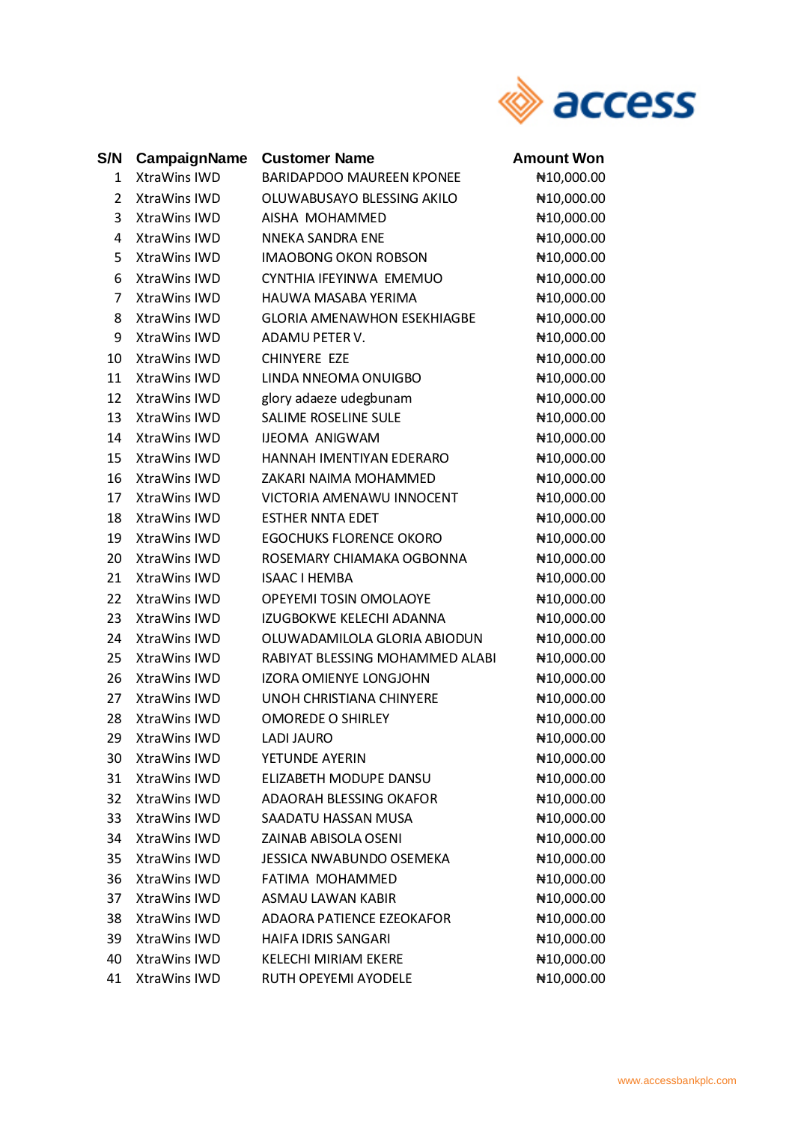

## **S/N CampaignName Customer Name BARIDAPDOO MAUREEN KPONEE** XtraWins IWD  $1 \quad$ **XtraWins IWD** OLUWABUSAYO BLESSING AKILO  $2^{\circ}$  $\overline{3}$ **XtraWins IWD** AISHA MOHAMMED  $\overline{a}$ XtraWins IWD **NNEKA SANDRA ENE** 5 **XtraWins IWD IMAOBONG OKON ROBSON** 6 XtraWins IWD CYNTHIA IFEYINWA EMEMUO  $\overline{7}$ **XtraWins IWD** HAUWA MASABA YERIMA  $\mathsf{\overline{8}}$ XtraWins IWD **GLORIA AMENAWHON ESEKHIAGBE** 9 **XtraWins IWD** ADAMU PETER V. 10 XtraWins IWD CHINYERE EZE 11 XtraWins IWD **LINDA NNEOMA ONUIGBO** 12 XtraWins IWD glory adaeze udegbunam SALIME ROSELINE SULE 13 XtraWins IWD 14 XtraWins IWD **IJEOMA ANIGWAM** 15 XtraWins IWD HANNAH IMENTIYAN EDERARO 16 XtraWins IWD ZAKARI NAIMA MOHAMMED  $17<sup>1</sup>$ XtraWins IWD **VICTORIA AMENAWU INNOCENT** 18 XtraWins IWD **ESTHER NNTA EDET** 19 XtraWins IWD **EGOCHUKS FLORENCE OKORO** 20 XtraWins IWD ROSEMARY CHIAMAKA OGBONNA 21 XtraWins IWD **ISAAC I HEMBA** 22 XtraWins IWD **OPEYEMI TOSIN OMOLAOYE** 23 XtraWins IWD **IZUGBOKWE KELECHI ADANNA** OLUWADAMILOLA GLORIA ABIODUN  $24$ XtraWins IWD

XtraWins IWD RABIYAT BLESSING MOHAMMED ALABI  $25$ 26 XtraWins IWD IZORA OMIENYE LONGJOHN  $27$ XtraWins IWD **UNOH CHRISTIANA CHINYERE** 28 XtraWins IWD **OMOREDE O SHIRLEY** 29 XtraWins IWD **LADI JAURO**  $30<sup>2</sup>$ XtraWins IWD YETUNDE AYERIN 31 XtraWins IWD ELIZABETH MODUPE DANSU 32 XtraWins IWD ADAORAH BLESSING OKAFOR 33 XtraWins IWD SAADATU HASSAN MUSA 34 XtraWins IWD **ZAINAB ABISOLA OSENI** 35 XtraWins IWD **JESSICA NWABUNDO OSEMEKA** 36 XtraWins IWD **FATIMA MOHAMMED** XtraWins IWD 37 **ASMAU LAWAN KABIR** 38 XtraWins IWD **ADAORA PATIENCE EZEOKAFOR** 39 XtraWins IWD HAIFA IDRIS SANGARI

**KELECHI MIRIAM EKERE** 

RUTH OPEYEMI AYODELE

40

**XtraWins IWD** 

41 XtraWins IWD

**Amount Won** ₦10,000.00 ₦10,000.00 ₦10.000.00 ₦10,000.00 ₦10.000.00 ₦10,000.00 ₦10,000.00 ₦10.000.00 ₦10,000.00 ₦10,000.00 ₦10.000.00 ₦10,000.00 ₦10.000.00 ₦10.000.00 ₦10,000.00 ₦10.000.00 ₦10,000.00 ₦10,000.00 ₦10.000.00 ₦10,000.00 ₦10,000.00 ₦10,000.00 ₦10,000.00 ₦10,000.00 ₦10,000.00 ₦10,000.00 ₦10,000.00 ₦10,000.00 ₦10,000.00 ₦10,000.00 ₦10,000.00 ₦10,000.00 ₦10,000.00 ₦10,000.00 ₦10,000.00 ₦10,000.00 ₦10,000.00 ₦10,000.00 ₦10,000.00

₦10.000.00

₦10,000.00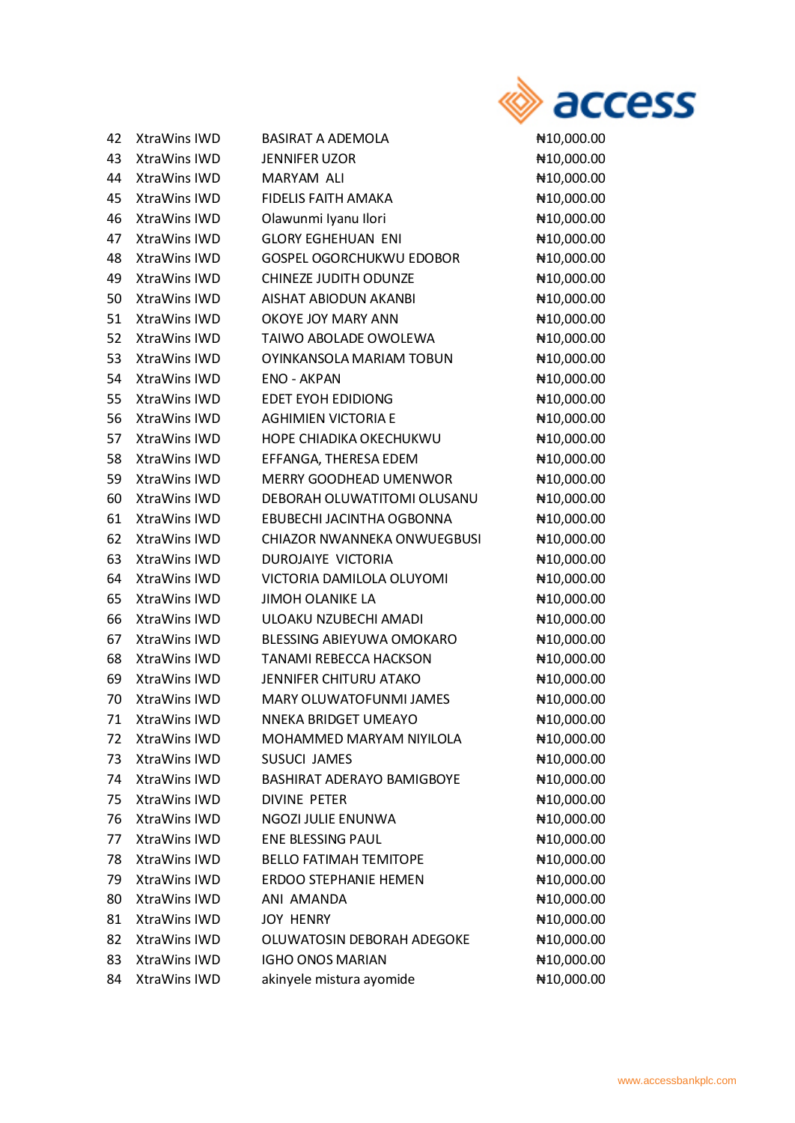

| 42 | XtraWins IWD        | <b>BASIRAT A ADEMOLA</b>          | ₦10,000.00 |
|----|---------------------|-----------------------------------|------------|
| 43 | XtraWins IWD        | <b>JENNIFER UZOR</b>              | ₦10,000.00 |
| 44 | XtraWins IWD        | MARYAM ALI                        | ₦10,000.00 |
| 45 | XtraWins IWD        | <b>FIDELIS FAITH AMAKA</b>        | ₦10,000.00 |
| 46 | XtraWins IWD        | Olawunmi Iyanu Ilori              | ₦10,000.00 |
| 47 | XtraWins IWD        | <b>GLORY EGHEHUAN ENI</b>         | ₦10,000.00 |
| 48 | XtraWins IWD        | <b>GOSPEL OGORCHUKWU EDOBOR</b>   | ₦10,000.00 |
| 49 | XtraWins IWD        | CHINEZE JUDITH ODUNZE             | ₦10,000.00 |
| 50 | XtraWins IWD        | AISHAT ABIODUN AKANBI             | ₦10,000.00 |
| 51 | XtraWins IWD        | OKOYE JOY MARY ANN                | ₦10,000.00 |
| 52 | XtraWins IWD        | TAIWO ABOLADE OWOLEWA             | ₦10,000.00 |
| 53 | XtraWins IWD        | OYINKANSOLA MARIAM TOBUN          | ₦10,000.00 |
| 54 | XtraWins IWD        | <b>ENO - AKPAN</b>                | ₦10,000.00 |
| 55 | <b>XtraWins IWD</b> | <b>EDET EYOH EDIDIONG</b>         | ₦10,000.00 |
| 56 | XtraWins IWD        | <b>AGHIMIEN VICTORIA E</b>        | ₦10,000.00 |
| 57 | XtraWins IWD        | HOPE CHIADIKA OKECHUKWU           | ₦10,000.00 |
| 58 | XtraWins IWD        | EFFANGA, THERESA EDEM             | ₦10,000.00 |
| 59 | <b>XtraWins IWD</b> | MERRY GOODHEAD UMENWOR            | ₦10,000.00 |
| 60 | XtraWins IWD        | DEBORAH OLUWATITOMI OLUSANU       | ₦10,000.00 |
| 61 | XtraWins IWD        | EBUBECHI JACINTHA OGBONNA         | ₦10,000.00 |
| 62 | XtraWins IWD        | CHIAZOR NWANNEKA ONWUEGBUSI       | ₦10,000.00 |
| 63 | XtraWins IWD        | DUROJAIYE VICTORIA                | ₦10,000.00 |
| 64 | XtraWins IWD        | VICTORIA DAMILOLA OLUYOMI         | ₦10,000.00 |
| 65 | <b>XtraWins IWD</b> | <b>JIMOH OLANIKE LA</b>           | ₦10,000.00 |
| 66 | XtraWins IWD        | ULOAKU NZUBECHI AMADI             | ₦10,000.00 |
| 67 | XtraWins IWD        | BLESSING ABIEYUWA OMOKARO         | ₦10,000.00 |
| 68 | XtraWins IWD        | <b>TANAMI REBECCA HACKSON</b>     | ₦10,000.00 |
| 69 | <b>XtraWins IWD</b> | JENNIFER CHITURU ATAKO            | ₦10,000.00 |
| 70 | XtraWins IWD        | MARY OLUWATOFUNMI JAMES           | ₦10,000.00 |
| 71 | <b>XtraWins IWD</b> | NNEKA BRIDGET UMEAYO              | ₦10,000.00 |
| 72 | XtraWins IWD        | MOHAMMED MARYAM NIYILOLA          | ₦10,000.00 |
| 73 | XtraWins IWD        | <b>SUSUCI JAMES</b>               | ₦10,000.00 |
| 74 | XtraWins IWD        | <b>BASHIRAT ADERAYO BAMIGBOYE</b> | ₦10,000.00 |
| 75 | XtraWins IWD        | <b>DIVINE PETER</b>               | ₦10,000.00 |
| 76 | XtraWins IWD        | NGOZI JULIE ENUNWA                | ₦10,000.00 |
| 77 | XtraWins IWD        | <b>ENE BLESSING PAUL</b>          | ₦10,000.00 |
| 78 | XtraWins IWD        | <b>BELLO FATIMAH TEMITOPE</b>     | ₦10,000.00 |
| 79 | XtraWins IWD        | <b>ERDOO STEPHANIE HEMEN</b>      | ₦10,000.00 |
| 80 | XtraWins IWD        | ANI AMANDA                        | ₦10,000.00 |
| 81 | XtraWins IWD        | <b>JOY HENRY</b>                  | ₦10,000.00 |
| 82 | XtraWins IWD        | OLUWATOSIN DEBORAH ADEGOKE        | ₦10,000.00 |
| 83 | XtraWins IWD        | <b>IGHO ONOS MARIAN</b>           | ₦10,000.00 |
| 84 | XtraWins IWD        | akinyele mistura ayomide          | ₦10,000.00 |

 $410,000.00$ ¥10,000.00  $410,000.00$ ¥10,000.00  $410,000.00$ ¥10,000.00  $410,000.00$  $410,000.00$  $410,000.00$  $410,000.00$  $410,000.00$  $410,000.00$  $410,000.00$  $410,000.00$  $410,000.00$  $410,000.00$  $410,000.00$  $410,000.00$  $410,000.00$  $410,000.00$  $410,000.00$  $410,000.00$  $410,000.00$  $410,000.00$  $410,000.00$  $410,000.00$ ¥10,000.00  $410,000.00$  $410,000.00$  $410,000.00$ ¥10,000.00  $410,000.00$ ¥10,000.00  $410,000.00$ ¥10,000.00  $410,000.00$  $410,000.00$  $410,000.00$ ¥10,000.00  $410,000.00$ ¥10,000.00 ₦10,000.00